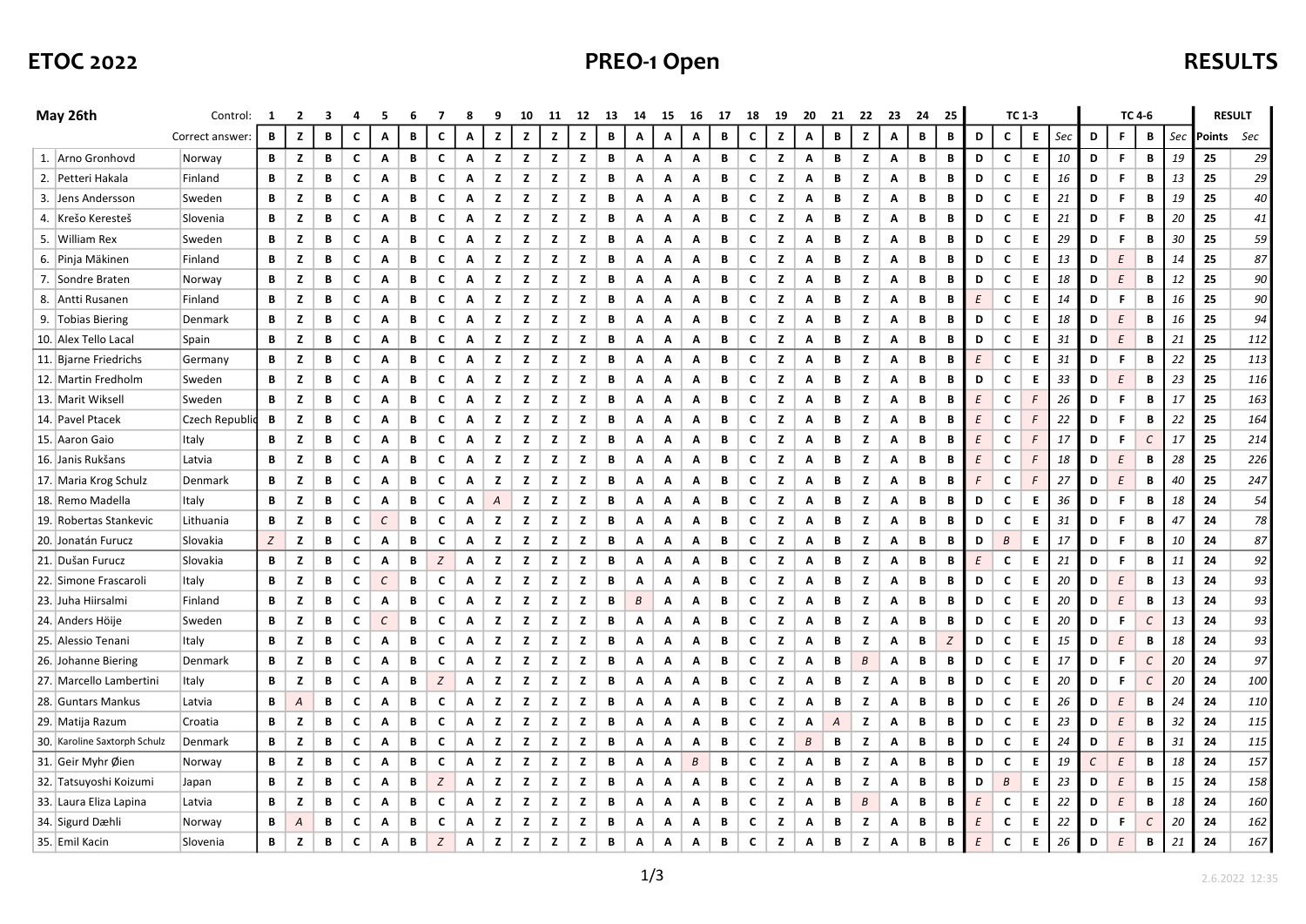# ETOC 2022 **ETOC 2022 PREO-1 Open PREO-1 Open**

| May 26th                     | Control:        | 1 | 2 | з | 4 | 5             | 6 | 7                | 8 | 9 | 10 | 11 | 12 | 13 | -14              | 15 | 16 |   | - 17<br>18 |   | 20<br>-19        |   | 22 | 23 | 24          | 25 |   | TC 1-3      |    |     |   |          | TC 4-6 |     | <b>RESULT</b> |     |
|------------------------------|-----------------|---|---|---|---|---------------|---|------------------|---|---|----|----|----|----|------------------|----|----|---|------------|---|------------------|---|----|----|-------------|----|---|-------------|----|-----|---|----------|--------|-----|---------------|-----|
|                              | Correct answer: | B | z | В | c | Α             | В | $\mathbf c$      | Α | z | z  | z  | z  | B  | Α                | Α  | Α  | B | c          | z | Α                | В | z  | Α  | B           | B  | D | c           | E. | Sec | D | F.       | B      | Sec | Points Sec    |     |
| 1. Arno Gronhovd             | Norway          | В | z | В | C | Α             | В | C                | Α | z | z  | z  | z  | В  | Α                | Α  | Α  | В | C          | z | Α                | В | z  | Α  | B           | В  | D | c           | E. | 10  | D | F        | В      | 19  | 25            | 29  |
| 2. Petteri Hakala            | Finland         | В | z | В | C | Α             | В | C                | Α | z | z  | z  | z  | В  | Α                | A  | Α  | В | C          | z | Α                | В | z  | Α  | B           | В  | D | C           | E. | 16  | D | F.       | В      | 13  | 25            | 29  |
| 3. Jens Andersson            | Sweden          | B | z | В | C | Α             | В | c                | Α | z | z  | z  | z  | В  | Α                | Α  | Α  | В | C          | z | Α                | B | z  | Α  | B           | В  | D | C           | E. | 21  | D | F        | В      | 19  | 25            | 40  |
| 4. Krešo Keresteš            | Slovenia        | В | z | В | c | Α             | В | c                | Α | z | z  | z  | z  | В  | Α                | A  | Α  | В | C          | z | Α                | В | z  | Α  | B           | В  | D | C           | E. | 21  | D | F        | В      | 20  | 25            | 41  |
| 5. William Rex               | Sweden          | B | z | В | C | Α             | В | c                | Α | z | z  | z  | z  | В  | Α                | Α  | Α  | В | C          | z | Α                | В | z  | Α  | B           | В  | D | C           | E  | 29  | D | F        | В      | 30  | 25            | 59  |
| 6. Pinja Mäkinen             | Finland         | В | z | В | c | Α             | В | c                | Α | z | z  | z  | z  | В  | Α                | Α  | Α  | В | C          | z | Α                | В | z  | Α  | B           | В  | D | C           | E. | 13  | D | $\cal E$ | В      | 14  | 25            | 87  |
| 7. Sondre Braten             | Norway          | В | z | В | c | Α             | В | c                | Α | z | z  | z  | z  | В  | Α                | A  | Α  | В | C          | z | Α                | В | z  | Α  | B           | В  | D | c           | E. | 18  | D | $\cal E$ | В      | 12  | 25            | 90  |
| 8. Antti Rusanen             | Finland         | B | z | В | C | Α             | В | c                | Α | z | z  | z  | z  | B  | Α                | Α  | Α  | В | C          | z | Α                | В | z  | Α  | B           | В  | E | $\mathbf c$ | E. | 14  | D | F        | В      | 16  | 25            | 90  |
| 9. Tobias Biering            | Denmark         | В | z | В | c | Α             | В | c                | Α | z | z  | z  | z  | В  | Α                | Α  | Α  | В | C          | z | Α                | В | z  | Α  | B           | В  | D | C           | E. | 18  | D | $\cal E$ | В      | 16  | 25            | 94  |
| 10. Alex Tello Lacal         | Spain           | В | z | B | C | Α             | В | C                | Α | z | z  | z  | z  | B  | Α                | Α  | Α  | В | C          | z | Α                | B | z  | Α  | B           | B  | D | C           | E  | 31  | D | $\cal E$ | B      | 21  | 25            | 112 |
| 11. Bjarne Friedrichs        | Germany         | B | z | В | c | Α             | В | C                | Α | z | z  | z  | z  | B  | A                | Α  | Α  | В | C          | z | Α                | B | z  | Α  | $\mathbf B$ | B  | E | C           | Е  | 31  | D | F        | В      | 22  | 25            | 113 |
| 12. Martin Fredholm          | Sweden          | B | z | В | C | Α             | В | C                | Α | z | z  | z  | z  | В  | Α                | Α  | Α  | В | C          | z | Α                | B | z  | Α  | B           | В  | D | C           | E  | 33  | D | E        | B      | 23  | 25            | 116 |
| 13. Marit Wiksel             | Sweden          | В | z | В | C | Α             | В | c                | Α | z | z  | z  | z  | В  | Α                | Α  | Α  | В | C          | z | Α                | В | z  | Α  | B           | В  | Ε | c           | F  | 26  | D | F        | В      | 17  | 25            | 163 |
| 14. Pavel Ptacek             | Czech Republi   | B | z | В | c | Α             | В | c                | Α | z | z  | z  | z  | B  | Α                | Α  | Α  | В | C          | z | Α                | B | z  | Α  | B           | В  | E | C           | F  | 22  | D | F        | В      | 22  | 25            | 164 |
| 15.   Aaron Gaio             | Italy           | В | z | В | c | Α             | В | C                | Α | z | z  | z  | z  | В  | Α                | Α  | Α  | В | C          | z | Α                | В | z  | Α  | B           | в  | E | C           | F  | 17  | D | F        | C      | 17  | 25            | 214 |
| 16. Janis Rukšans            | Latvia          | B | z | В | C | Α             | В | c                | Α | z | z  | z  | z  | В  | Α                | Α  | Α  | В | C          | z | Α                | B | z  | Α  | B           | В  | E | C           | F  | 18  | D | E        | B      | 28  | 25            | 226 |
| 17. Maria Krog Schulz        | Denmark         | В | z | В | C | A             | В | $\mathbf c$      | Α | z | z  | z  | z  | В  | Α                | A  | Α  | В | C          | z | Α                | В | z  | Α  | B           | В  | F | C           | F  | 27  | D | $\cal E$ | В      | 40  | 25            | 247 |
| 18. Remo Madella             | Italy           | B | z | В | C | Α             | В | c                | Α | Α | z  | z  | z  | В  | Α                | Α  | Α  | В | C          | z | Α                | B | z  | Α  | B           | В  | D | C           | E  | 36  | D | F        | В      | 18  | 24            | 54  |
| 19. Robertas Stankevic       | Lithuania       | В | z | B | c | $\mathcal{C}$ | B | $\mathbf c$      | Α | z | z  | z  | z  | В  | Α                | Α  | Α  | В | C          | z | Α                | В | z  | Α  | B           | В  | D | C           | E  | 31  | D | F        | В      | 47  | 24            | 78  |
| 20.   Jonatán Furucz         | Slovakia        | Ζ | z | В | c | Α             | В | c                | Α | z | z  | z  | z  | В  | Α                | Α  | Α  | В | C          | z | Α                | В | z  | Α  | B           | В  | D | B           | E  | 17  | D | F.       | В      | 10  | 24            | 87  |
| 21. Dušan Furucz             | Slovakia        | В | z | В | C | Α             | B | $\boldsymbol{Z}$ | Α | z | z  | z  | z  | В  | Α                | Α  | Α  | В | C          | z | Α                | B | z  | Α  | $\mathbf B$ | B  | E | C           | E  | 21  | D | F        | В      | 11  | 24            | 92  |
| 22. Simone Frascaroli        | Italy           | В | z | В | c | C             | В | c                | Α | z | z  | z  | z  | В  | Α                | A  | Α  | В | C          | z | Α                | В | z  | Α  | B           | В  | D | c           | E  | 20  | D | Ε        | В      | 13  | 24            | 93  |
| 23.   Juha Hiirsalmi         | Finland         | B | z | В | c | Α             | В | $\mathbf c$      | Α | z | z  | z  | z  | В  | $\boldsymbol{B}$ | Α  | Α  | В | c          | z | Α                | B | z  | Α  | B           | B  | D | C           | E  | 20  | D | $\cal E$ | B      | 13  | 24            | 93  |
| 24. Anders Höije             | Sweden          | В | z | В | c | $\mathcal{C}$ | В | c                | Α | z | z  | z  | z  | В  | Α                | A  | Α  | В | c          | z | Α                | В | z  | Α  | B           | В  | D | c           | E. | 20  | D | F        | С      | 13  | 24            | 93  |
| 25. Alessio Tenani           | Italy           | В | z | В | c | Α             | В | $\mathbf c$      | Α | z | z  | z  | z  | B  | Α                | Α  | Α  | В | c          | z | Α                | В | z  | Α  | B           | Ζ  | D | C           | E  | 15  | D | $\cal E$ | B      | 18  | 24            | 93  |
| 26. Johanne Biering          | Denmark         | В | z | В | c | Α             | В | c                | Α | z | z  | z  | z  | В  | Α                | A  | Α  | В | C          | z | A                | В | B  | Α  | B           | В  | D | c           | E. | 17  | D | F        | C      | 20  | 24            | 97  |
| 27. Marcello Lambertini      | Italy           | В | z | В | c | Α             | В | $\boldsymbol{Z}$ | Α | z | z  | z  | z  | B  | Α                | Α  | Α  | В | c          | z | Α                | В | z  | Α  | B           | В  | D | C           | E  | 20  | D | F        | С      | 20  | 24            | 100 |
| 28. Guntars Mankus           | Latvia          | В | Α | В | c | Α             | В | C                | Α | z | z  | z  | z  | В  | Α                | A  | Α  | В | C          | z | A                | В | z  | Α  | B           | В  | D | C           | E. | 26  | D | $\cal E$ | В      | 24  | 24            | 110 |
| 29. Matija Razum             | Croatia         | В | z | В | C | A             | В | c                | Α | z | z  | z  | z  | В  | Α                | Α  | Α  | В | C          | z | Α                | A | z  | Α  | B           | В  | D | c           | E. | 23  | D | $\cal E$ | В      | 32  | 24            | 115 |
| 30. Karoline Saxtorph Schulz | Denmark         | В | z | В | C | A             | В | C                | Α | z | z  | z  | z  | В  | Α                | A  | Α  | В | C          | z | $\boldsymbol{B}$ | В | z  | Α  | B           | В  | D | c           | E  | 24  | D | $\cal E$ | В      | 31  | 24            | 115 |
| 31. Geir Myhr Øien           | Norway          | В | z | В | C | Α             | В | C                | Α | z | z  | z  | z  | В  | Α                | Α  | В  | В | C          | z | Α                | В | z  | Α  | B           | В  | D | C           | E  | 19  | C | $\cal E$ | В      | 18  | 24            | 157 |
| 32. Tatsuyoshi Koizumi       | Japan           | В | z | В | c | Α             | В | $\boldsymbol{Z}$ | Α | z | z  | z  | z  | В  | Α                | Α  | Α  | В | C          | z | Α                | В | z  | Α  | B           | В  | D | В           | E. | 23  | D | $\cal E$ | В      | 15  | 24            | 158 |
| 33. Laura Eliza Lapina       | Latvia          | В | z | В | c | Α             | В | c                | Α | z | z  | z  | z  | В  | Α                | A  | Α  | В | C          | z | Α                | В | B  | Α  | B           | В  | Ε | c           | Е  | 22  | D | Ε        | В      | 18  | 24            | 160 |
| 34. Sigurd Dæhli             | Norway          | В | A | В | c | Α             | B | C                | Α | z | z  | z  | z  | B  | Α                | Α  | Α  | В | C          | z | Α                | В | z  | Α  | B           | В  | E | C           | Е  | 22  | D | F        | C      | 20  | 24            | 162 |
| 35. Emil Kacin               | Slovenia        | В | z | В | C | Α             | В | Z                | Α | z | z  | z  | z  | В  | Α                | Α  | Α  | В | C          | z | Α                | В | z  | Α  | В           | В  | E | C           | E. | 26  | D | Ε        | В      | 21  | 24            | 167 |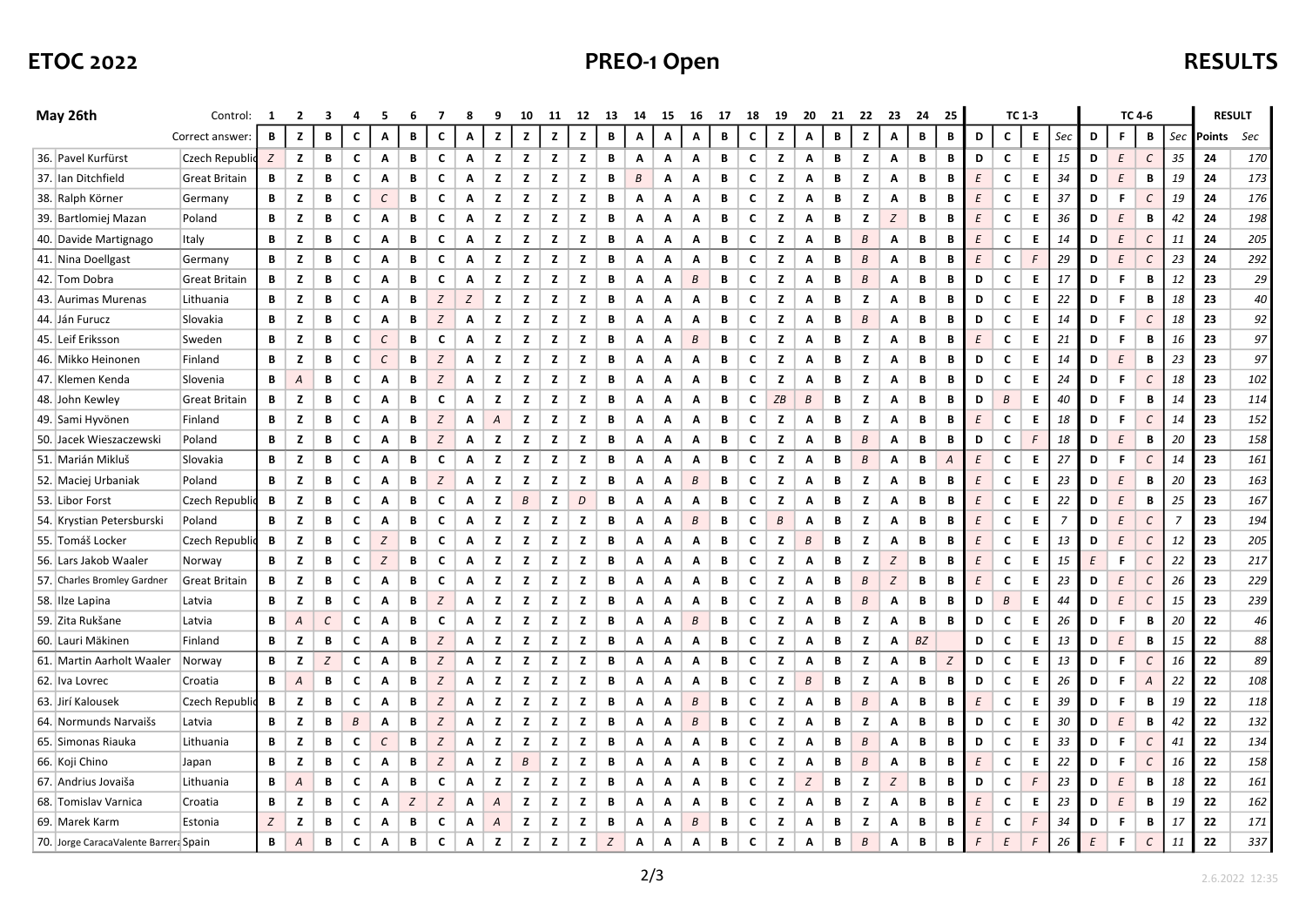# ETOC 2022 **ETOC 2022 PREO-1 Open PREO-1 Open**

| May 26th                              | Control:             | $\blacksquare$ | 2 | з             | 4 | 5             | 6 |                  |   | 9 | 10               | 11           | 12 | 13 | 14 | 15 | 16 | -17 | 18 | 19           | 20 | 21 | 22               | 23               | 24           | 25 |          |                  | TC 1-3 |                |   | TC 4-6   |               | <b>RESULT</b>  |        |     |
|---------------------------------------|----------------------|----------------|---|---------------|---|---------------|---|------------------|---|---|------------------|--------------|----|----|----|----|----|-----|----|--------------|----|----|------------------|------------------|--------------|----|----------|------------------|--------|----------------|---|----------|---------------|----------------|--------|-----|
|                                       | Correct answer:      | B              | z | B             | C | Α             | В | C                | Α | z | z                | $\mathbf{z}$ | z  | B  | Α  | Α  | Α  | B   | C  | $\mathbf{z}$ | Α  | В  | z                | Α                | $\, {\bf B}$ | B  | D        | $\mathbf c$      | E.     | Sec            | D | F        | B             | Sec            | Points | Sec |
| 36. Pavel Kurfürst                    | Czech Republic       | Z              | z | В             | c | A             | В | c                | Α | z | z                | z            | z  | В  | Α  | Α  | Α  | В   | C  | z            | A  | В  | z                | Α                | B            | В  | D        | c                | E.     | 15             | D | $\cal E$ | $\mathcal{C}$ | 35             | 24     | 170 |
| 37. Ian Ditchfield                    | <b>Great Britain</b> | В              | z | В             | C | Α             | В | c                | A | z | z                | z            | z  | В  | В  | Α  | Α  | В   | C  | z            | Α  | В  | z                | Α                | В            | В  | E        | C                | E.     | 34             | D | $\cal E$ | В             | 19             | 24     | 173 |
| 38. Ralph Körner                      | Germany              | В              | z | В             | c | $\mathcal{C}$ | B | c                | Α | z | z                | z            | z  | В  | Α  | Α  | Α  | B   | C  | z            | Α  | B  | z                | Α                | B            | В  | E        | C                | E.     | 37             | D | F        | $\mathcal{C}$ | 19             | 24     | 176 |
| 39. Bartlomiej Mazan                  | Poland               | В              | z | В             | C | Α             | В | c                | Α | z | z                | z            | z  | В  | Α  | Α  | Α  | B   | C  | z            | Α  | В  | z                | Z                | B            | В  | E        | C                | E.     | 36             | D | $\cal E$ | B             | 42             | 24     | 198 |
| 40. Davide Martignago                 | Italy                | В              | z | В             | C | Α             | В | $\mathbf c$      | Α | z | z                | z            | z  | В  | Α  | Α  | Α  | B   | C  | z            | Α  | B  | $\overline{B}$   | Α                | $\mathbf B$  | В  | E        | C                | E.     | 14             | D | $\cal E$ | $\mathcal{C}$ | 11             | 24     | 205 |
| 41. Nina Doellgast                    | Germany              | В              | z | В             | C | Α             | В | c                | Α | z | z                | z            | z  | В  | Α  | Α  | Α  | B   | C  | z            | Α  | В  | $\boldsymbol{B}$ | Α                | B            | В  | E        | c                | F      | 29             | D | $\cal E$ | $\cal C$      | 23             | 24     | 292 |
| 42. Tom Dobra                         | <b>Great Britain</b> | В              | z | В             | С | Α             | В | c                | A | z | z                | z            | z  | В  | Α  | A  | B  | B   | C  | z            | Α  | В  | $\overline{B}$   | Α                | B            | В  | D        | C                | E.     | 17             | D | F        | В             | 12             | 23     | 29  |
| 43. Aurimas Murenas                   | Lithuania            | В              | z | В             | C | Α             | В | Z                | Z | z | z                | z            | z  | В  | Α  | Α  | Α  | B   | C  | z            | Α  | В  | z                | Α                | B            | В  | D        | c                | E.     | 22             | D | F        | В             | 18             | 23     | 40  |
| 44. Ján Furucz                        | Slovakia             | В              | z | В             | C | Α             | В | $\boldsymbol{Z}$ | Α | z | z                | z            | z  | В  | Α  | A  | Α  | B   | C  | z            | Α  | B  | $\overline{B}$   | Α                | B            | В  | D        | C                | E.     | 14             | D | F        | $\mathcal{C}$ | 18             | 23     | 92  |
| 45. Leif Eriksson                     | Sweden               | В              | z | B             | C | $\mathcal{C}$ | B | c                | Α | z | z                | z            | z  | B  | Α  | Α  | B  | В   | C  | z            | Α  | В  | z                | Α                | B            | В  | E        | c                | E.     | 21             | D | F        | В             | 16             | 23     | 97  |
| 46. Mikko Heinonen                    | Finland              | В              | z | В             | C | $\mathcal{C}$ | B | $\boldsymbol{Z}$ | A | z | z                | z            | z  | B  | Α  | Α  | Α  | B   | C  | z            | Α  | B  | z                | Α                | B            | В  | D        | C                | E.     | 14             | D | $\cal E$ | B             | 23             | 23     | 97  |
| 47. Klemen Kenda                      | Slovenia             | В              | Α | В             | C | Α             | В | Z                | A | z | z                | z            | z  | B  | Α  | Α  | Α  | В   | C  | z            | Α  | В  | z                | Α                | B            | В  | D        | c                | E.     | 24             | D | F        | С             | 18             | 23     | 102 |
| 48. John Kewley                       | <b>Great Britain</b> | В              | z | В             | c | Α             | В | $\mathbf c$      | Α | z | z                | z            | z  | В  | Α  | Α  | Α  | B   | C  | ZB           | B  | В  | z                | Α                | B            | В  | D        | $\boldsymbol{B}$ | E.     | 40             | D | F        | В             | 14             | 23     | 114 |
| 49. Sami Hyvönen                      | Finland              | В              | z | В             | C | Α             | В | Z                | Α | Α | z                | z            | z  | B  | Α  | Α  | Α  | В   | C  | z            | Α  | В  | z                | Α                | B            | В  | E        | C                | E.     | 18             | D | F        | C             | 14             | 23     | 152 |
| 50. Jacek Wieszaczewski               | Poland               | В              | z | В             | C | Α             | В | $\boldsymbol{Z}$ | Α | z | z                | z            | z  | В  | Α  | Α  | Α  | В   | C  | z            | Α  | B  | $\boldsymbol{B}$ | Α                | B            | В  | D        | C                | F      | 18             | D | $\cal E$ | В             | 20             | 23     | 158 |
| 51. Marián Mikluš                     | Slovakia             | В              | z | В             | C | Α             | В | C                | Α | z | z                | z            | z  | B  | Α  | Α  | Α  | B   | C  | z            | Α  | B  | $\boldsymbol{B}$ | Α                | B            | A  | E        | $\mathbf c$      | E.     | 27             | D | F        | $\epsilon$    | 14             | 23     | 161 |
| 52. Maciej Urbaniak                   | Poland               | В              | z | В             | C | Α             | В | Z                | Α | z | z                | z            | z  | В  | Α  | Α  | B  | B   | C  | z            | Α  | B  | z                | Α                | B            | B  | $\cal E$ | c                | E.     | 23             | D | $\cal E$ | В             | 20             | 23     | 163 |
| 53. Libor Forst                       | Czech Republi        | В              | z | В             | C | Α             | В | c                | A | z | B                | z            | D  | B  | Α  | Α  | Α  | B   | C  | z            | Α  | В  | z                | Α                | B            | В  | E        | C                | E.     | 22             | D | $\cal E$ | В             | 25             | 23     | 167 |
| 54. Krystian Petersburski             | Poland               | В              | z | В             | C | Α             | В | c                | Α | z | z                | z            | z  | В  | Α  | Α  | B  | B   | C  | В            | Α  | B  | z                | Α                | B            | В  | $\cal E$ | c                | E.     | $\overline{7}$ | D | $\cal E$ | $\epsilon$    | $\overline{7}$ | 23     | 194 |
| 55. Tomáš Locker                      | Czech Republi        | В              | z | В             | C | Z             | В | c                | A | z | z                | z            | z  | B  | Α  | Α  | Α  | B   | C  | z            | B  | В  | z                | Α                | B            | В  | E        | C                | E.     | 13             | D | $\cal E$ | $\mathcal{C}$ | 12             | 23     | 205 |
| 56. Lars Jakob Waaler                 | Norway               | В              | z | В             | C | Z             | В | c                | Α | z | z                | z            | z  | В  | Α  | Α  | Α  | B   | C  | z            | Α  | В  | z                | $\boldsymbol{Z}$ | B            | В  | E        | c                | E.     | 15             | E | F        | $\mathcal{C}$ | 22             | 23     | 217 |
| 57. Charles Bromley Gardner           | <b>Great Britain</b> | В              | z | В             | C | Α             | В | c                | A | z | z                | z            | z  | B  | Α  | Α  | Α  | В   | C  | z            | Α  | В  | B                | Z                | B            | В  | E        | c                | E.     | 23             | D | $\cal E$ | $\mathcal{C}$ | 26             | 23     | 229 |
| 58. Ilze Lapina                       | Latvia               | В              | z | В             | C | Α             | В | $\boldsymbol{Z}$ | Α | z | z                | z            | z  | В  | Α  | Α  | Α  | B   | C  | z            | Α  | B  | $\boldsymbol{B}$ | Α                | B            | B  | D        | $\boldsymbol{B}$ | E.     | 44             | D | $\cal E$ | $\cal C$      | 15             | 23     | 239 |
| 59. Zita Rukšane                      | Latvia               | В              | Α | $\mathcal{C}$ | C | Α             | B | c                | Α | z | z                | z            | z  | B  | Α  | Α  | B  | B   | C  | z            | Α  | В  | z                | Α                | B            | В  | D        | C                | E.     | 26             | D | F        | В             | 20             | 22     | 46  |
| 60. Lauri Mäkinen                     | Finland              | В              | z | В             | C | Α             | В | Z                | Α | z | z                | z            | z  | В  | Α  | Α  | Α  | B   | C  | z            | Α  | B  | z                | Α                | <b>BZ</b>    |    | D        | c                | E.     | 13             | D | $\cal E$ | B             | 15             | 22     | 88  |
| 61. Martin Aarholt Waaler             | Norway               | В              | z | Z             | C | Α             | В | Z                | Α | z | z                | z            | z  | B  | Α  | Α  | Α  | B   | C  | z            | Α  | В  | z                | Α                | B            | Z  | D        | c                | E.     | 13             | D | F        | $\epsilon$    | 16             | 22     | 89  |
| 62. Iva Lovrec                        | Croatia              | В              | Α | В             | C | Α             | В | Z                | Α | z | z                | z            | z  | В  | Α  | Α  | Α  | B   | C  | z            | В  | В  | z                | Α                | B            | B  | D        | c                | E.     | 26             | D | F        | Α             | 22             | 22     | 108 |
| 63. Jirí Kalousek                     | Czech Republi        | В              | z | В             | C | Α             | В | $\boldsymbol{Z}$ | A | z | z                | z            | z  | B  | Α  | Α  | B  | B   | C  | z            | Α  | B  | $\boldsymbol{B}$ | Α                | B            | В  | E        | c                | E.     | 39             | D | F        | В             | 19             | 22     | 118 |
| 64. Normunds Narvaišs                 | Latvia               | В              | z | В             | В | Α             | В | $\boldsymbol{Z}$ | Α | z | z                | z            | z  | В  | Α  | Α  | В  | В   | C  | z            | Α  | В  | z                | Α                | B            | В  | D        | c                | E.     | 30             | D | $\cal E$ | В             | 42             | 22     | 132 |
| 65. Simonas Riauka                    | Lithuania            | В              | z | В             | C | $\mathcal{C}$ | B | Z                | A | z | z                | z            | z  | B  | Α  | Α  | Α  | B   | C  | z            | Α  | B  | B                | Α                | B            | В  | D        | C                | E.     | 33             | D | F        | $\epsilon$    | 41             | 22     | 134 |
| 66. Koji Chino                        | Japan                | В              | z | В             | С | Α             | В | Z                | Α | z | $\boldsymbol{B}$ | z            | z  | В  | Α  | Α  | Α  | B   | c  | z            | A  | В  | $\boldsymbol{B}$ | Α                | B            | В  | E        | c                | E.     | 22             | D | F        | $\epsilon$    | 16             | 22     | 158 |
| 67. Andrius Jovaiša                   | Lithuania            | В              | Α | В             | C | A             | B | C                | A | z | z                | z            | z  | B  | Α  | Α  | Α  | B   | C  | z            | Z  | B  | z                | Z                | B            | В  | D        | C                | F      | 23             | D | $\cal E$ | B             | 18             | 22     | 161 |
| 68. Tomislav Varnica                  | Croatia              | В              | z | В             | С | Α             | Z | Z                | Α | Α | z                | z            | z  | В  | Α  | Α  | Α  | В   | c  | z            | Α  | В  | z                | Α                | B            | В  | E        | c                | E.     | 23             | D | Ε        | В             | 19             | 22     | 162 |
| 69. Marek Karm                        | Estonia              | Z              | z | В             | c | Α             | В | c                | Α | A | z                | z            | z  | B  | Α  | Α  | B  | B   | c  | z            | Α  | В  | z                | Α                | B            | B  | E        | c                | F      | 34             | D | F        | В             | 17             | 22     | 171 |
| 70. Jorge CaracaValente Barrera Spain |                      |                | Α | В             | C | Α             | B | c                | A | z | z                | $\mathbf{z}$ | z  | Z  | Α  | A  | Α  | B   | C  | z            | Α  | B  | B                | Α                | B            | B  |          | E                | F      | 26             | E | F        | C             | 11             | 22     | 337 |